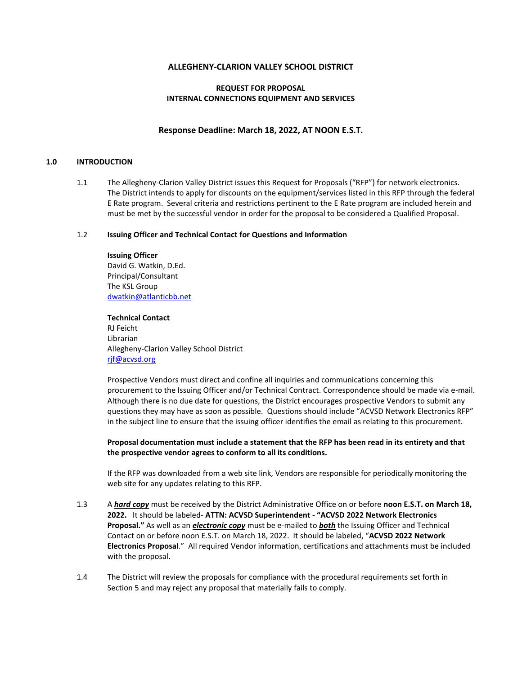## **ALLEGHENY-CLARION VALLEY SCHOOL DISTRICT**

## **REQUEST FOR PROPOSAL INTERNAL CONNECTIONS EQUIPMENT AND SERVICES**

## **Response Deadline: March 18, 2022, AT NOON E.S.T.**

#### **1.0 INTRODUCTION**

1.1 The Allegheny-Clarion Valley District issues this Request for Proposals ("RFP") for network electronics. The District intends to apply for discounts on the equipment/services listed in this RFP through the federal E Rate program. Several criteria and restrictions pertinent to the E Rate program are included herein and must be met by the successful vendor in order for the proposal to be considered a Qualified Proposal.

## 1.2 **Issuing Officer and Technical Contact for Questions and Information**

# **Issuing Officer**

David G. Watkin, D.Ed. Principal/Consultant The KSL Group [dwatkin@atlanticbb.net](mailto:dwatkin@atlanticbb.net)

**Technical Contact** RJ Feicht Librarian Allegheny-Clarion Valley School District [rjf@acvsd.org](mailto:rjf@acvsd.org)

Prospective Vendors must direct and confine all inquiries and communications concerning this procurement to the Issuing Officer and/or Technical Contract. Correspondence should be made via e-mail. Although there is no due date for questions, the District encourages prospective Vendors to submit any questions they may have as soon as possible. Questions should include "ACVSD Network Electronics RFP" in the subject line to ensure that the issuing officer identifies the email as relating to this procurement.

## **Proposal documentation must include a statement that the RFP has been read in its entirety and that the prospective vendor agrees to conform to all its conditions.**

If the RFP was downloaded from a web site link, Vendors are responsible for periodically monitoring the web site for any updates relating to this RFP.

- 1.3 A *hard copy* must be received by the District Administrative Office on or before **noon E.S.T. on March 18, 2022.** It should be labeled- **ATTN: ACVSD Superintendent - "ACVSD 2022 Network Electronics Proposal."** As well as an *electronic copy* must be e-mailed to *both* the Issuing Officer and Technical Contact on or before noon E.S.T. on March 18, 2022. It should be labeled, "**ACVSD 2022 Network Electronics Proposal**." All required Vendor information, certifications and attachments must be included with the proposal.
- 1.4 The District will review the proposals for compliance with the procedural requirements set forth in Section 5 and may reject any proposal that materially fails to comply.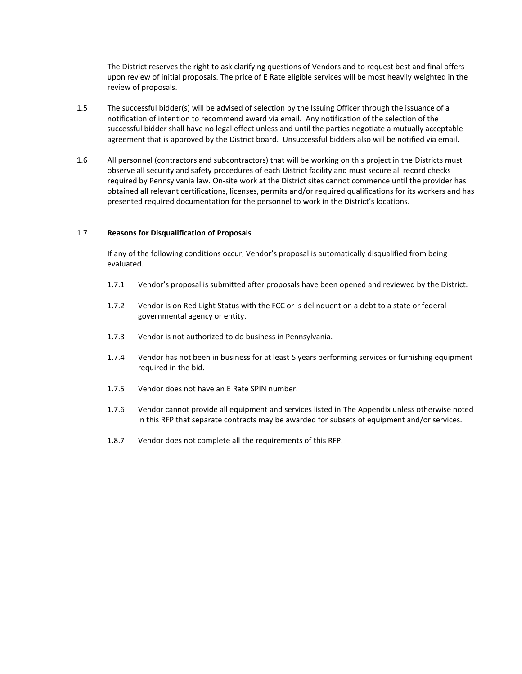The District reserves the right to ask clarifying questions of Vendors and to request best and final offers upon review of initial proposals. The price of E Rate eligible services will be most heavily weighted in the review of proposals.

- 1.5 The successful bidder(s) will be advised of selection by the Issuing Officer through the issuance of a notification of intention to recommend award via email. Any notification of the selection of the successful bidder shall have no legal effect unless and until the parties negotiate a mutually acceptable agreement that is approved by the District board. Unsuccessful bidders also will be notified via email.
- 1.6 All personnel (contractors and subcontractors) that will be working on this project in the Districts must observe all security and safety procedures of each District facility and must secure all record checks required by Pennsylvania law. On-site work at the District sites cannot commence until the provider has obtained all relevant certifications, licenses, permits and/or required qualifications for its workers and has presented required documentation for the personnel to work in the District's locations.

#### 1.7 **Reasons for Disqualification of Proposals**

If any of the following conditions occur, Vendor's proposal is automatically disqualified from being evaluated.

- 1.7.1 Vendor's proposal is submitted after proposals have been opened and reviewed by the District.
- 1.7.2 Vendor is on Red Light Status with the FCC or is delinquent on a debt to a state or federal governmental agency or entity.
- 1.7.3 Vendor is not authorized to do business in Pennsylvania.
- 1.7.4 Vendor has not been in business for at least 5 years performing services or furnishing equipment required in the bid.
- 1.7.5 Vendor does not have an E Rate SPIN number.
- 1.7.6 Vendor cannot provide all equipment and services listed in The Appendix unless otherwise noted in this RFP that separate contracts may be awarded for subsets of equipment and/or services.
- 1.8.7 Vendor does not complete all the requirements of this RFP.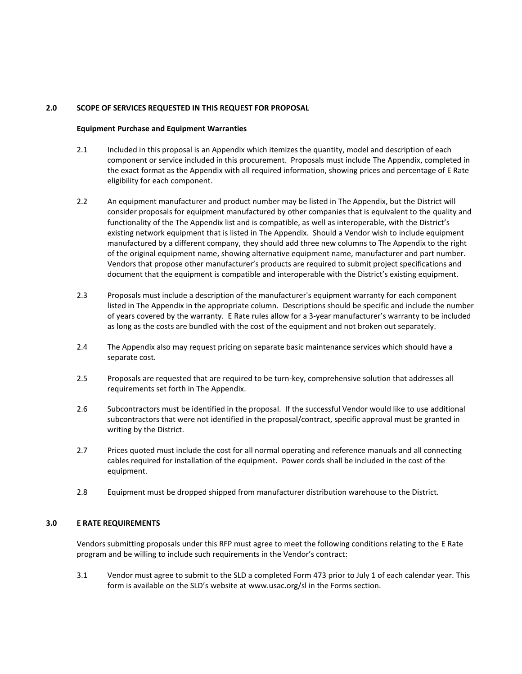## **2.0 SCOPE OF SERVICES REQUESTED IN THIS REQUEST FOR PROPOSAL**

#### **Equipment Purchase and Equipment Warranties**

- 2.1 Included in this proposal is an Appendix which itemizes the quantity, model and description of each component or service included in this procurement. Proposals must include The Appendix, completed in the exact format as the Appendix with all required information, showing prices and percentage of E Rate eligibility for each component.
- 2.2 An equipment manufacturer and product number may be listed in The Appendix, but the District will consider proposals for equipment manufactured by other companies that is equivalent to the quality and functionality of the The Appendix list and is compatible, as well as interoperable, with the District's existing network equipment that is listed in The Appendix. Should a Vendor wish to include equipment manufactured by a different company, they should add three new columns to The Appendix to the right of the original equipment name, showing alternative equipment name, manufacturer and part number. Vendors that propose other manufacturer's products are required to submit project specifications and document that the equipment is compatible and interoperable with the District's existing equipment.
- 2.3 Proposals must include a description of the manufacturer's equipment warranty for each component listed in The Appendix in the appropriate column. Descriptions should be specific and include the number of years covered by the warranty. E Rate rules allow for a 3-year manufacturer's warranty to be included as long as the costs are bundled with the cost of the equipment and not broken out separately.
- 2.4 The Appendix also may request pricing on separate basic maintenance services which should have a separate cost.
- 2.5 Proposals are requested that are required to be turn-key, comprehensive solution that addresses all requirements set forth in The Appendix.
- 2.6 Subcontractors must be identified in the proposal. If the successful Vendor would like to use additional subcontractors that were not identified in the proposal/contract, specific approval must be granted in writing by the District.
- 2.7 Prices quoted must include the cost for all normal operating and reference manuals and all connecting cables required for installation of the equipment. Power cords shall be included in the cost of the equipment.
- 2.8 Equipment must be dropped shipped from manufacturer distribution warehouse to the District.

#### **3.0 E RATE REQUIREMENTS**

Vendors submitting proposals under this RFP must agree to meet the following conditions relating to the E Rate program and be willing to include such requirements in the Vendor's contract:

3.1 Vendor must agree to submit to the SLD a completed Form 473 prior to July 1 of each calendar year. This form is available on the SLD's website at [www.usac.org/sl](http://www.usac.org/sl) in the Forms section.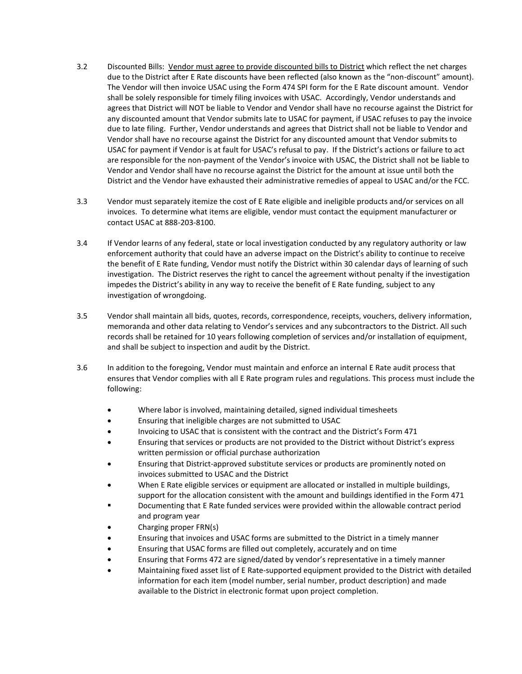- 3.2 Discounted Bills: Vendor must agree to provide discounted bills to District which reflect the net charges due to the District after E Rate discounts have been reflected (also known as the "non-discount" amount). The Vendor will then invoice USAC using the Form 474 SPI form for the E Rate discount amount. Vendor shall be solely responsible for timely filing invoices with USAC. Accordingly, Vendor understands and agrees that District will NOT be liable to Vendor and Vendor shall have no recourse against the District for any discounted amount that Vendor submits late to USAC for payment, if USAC refuses to pay the invoice due to late filing. Further, Vendor understands and agrees that District shall not be liable to Vendor and Vendor shall have no recourse against the District for any discounted amount that Vendor submits to USAC for payment if Vendor is at fault for USAC's refusal to pay. If the District's actions or failure to act are responsible for the non-payment of the Vendor's invoice with USAC, the District shall not be liable to Vendor and Vendor shall have no recourse against the District for the amount at issue until both the District and the Vendor have exhausted their administrative remedies of appeal to USAC and/or the FCC.
- 3.3 Vendor must separately itemize the cost of E Rate eligible and ineligible products and/or services on all invoices. To determine what items are eligible, vendor must contact the equipment manufacturer or contact USAC at 888-203-8100.
- 3.4 If Vendor learns of any federal, state or local investigation conducted by any regulatory authority or law enforcement authority that could have an adverse impact on the District's ability to continue to receive the benefit of E Rate funding, Vendor must notify the District within 30 calendar days of learning of such investigation. The District reserves the right to cancel the agreement without penalty if the investigation impedes the District's ability in any way to receive the benefit of E Rate funding, subject to any investigation of wrongdoing.
- 3.5 Vendor shall maintain all bids, quotes, records, correspondence, receipts, vouchers, delivery information, memoranda and other data relating to Vendor's services and any subcontractors to the District. All such records shall be retained for 10 years following completion of services and/or installation of equipment, and shall be subject to inspection and audit by the District.
- 3.6 In addition to the foregoing, Vendor must maintain and enforce an internal E Rate audit process that ensures that Vendor complies with all E Rate program rules and regulations. This process must include the following:
	- Where labor is involved, maintaining detailed, signed individual timesheets
	- Ensuring that ineligible charges are not submitted to USAC
	- Invoicing to USAC that is consistent with the contract and the District's Form 471
	- Ensuring that services or products are not provided to the District without District's express written permission or official purchase authorization
	- Ensuring that District-approved substitute services or products are prominently noted on invoices submitted to USAC and the District
	- When E Rate eligible services or equipment are allocated or installed in multiple buildings, support for the allocation consistent with the amount and buildings identified in the Form 471
	- Documenting that E Rate funded services were provided within the allowable contract period and program year
	- Charging proper FRN(s)
	- Ensuring that invoices and USAC forms are submitted to the District in a timely manner
	- Ensuring that USAC forms are filled out completely, accurately and on time
	- Ensuring that Forms 472 are signed/dated by vendor's representative in a timely manner
	- Maintaining fixed asset list of E Rate-supported equipment provided to the District with detailed information for each item (model number, serial number, product description) and made available to the District in electronic format upon project completion.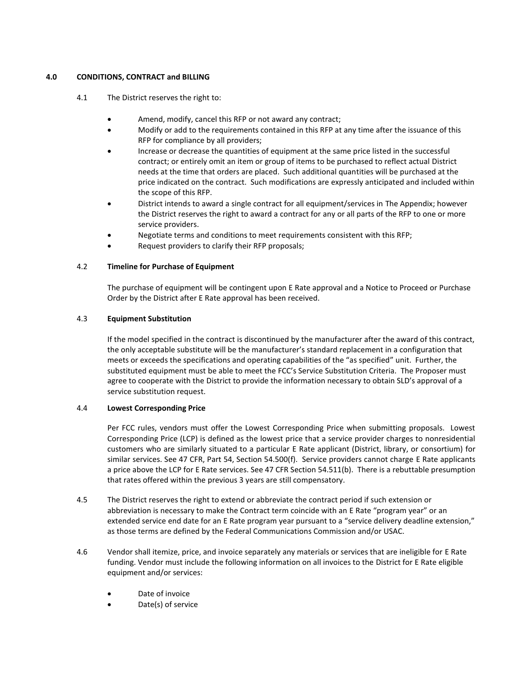## **4.0 CONDITIONS, CONTRACT and BILLING**

- 4.1 The District reserves the right to:
	- Amend, modify, cancel this RFP or not award any contract;
	- Modify or add to the requirements contained in this RFP at any time after the issuance of this RFP for compliance by all providers;
	- Increase or decrease the quantities of equipment at the same price listed in the successful contract; or entirely omit an item or group of items to be purchased to reflect actual District needs at the time that orders are placed. Such additional quantities will be purchased at the price indicated on the contract. Such modifications are expressly anticipated and included within the scope of this RFP.
	- District intends to award a single contract for all equipment/services in The Appendix; however the District reserves the right to award a contract for any or all parts of the RFP to one or more service providers.
	- Negotiate terms and conditions to meet requirements consistent with this RFP;
	- Request providers to clarify their RFP proposals;

## 4.2 **Timeline for Purchase of Equipment**

The purchase of equipment will be contingent upon E Rate approval and a Notice to Proceed or Purchase Order by the District after E Rate approval has been received.

## 4.3 **Equipment Substitution**

If the model specified in the contract is discontinued by the manufacturer after the award of this contract, the only acceptable substitute will be the manufacturer's standard replacement in a configuration that meets or exceeds the specifications and operating capabilities of the "as specified" unit. Further, the substituted equipment must be able to meet the FCC's Service Substitution Criteria. The Proposer must agree to cooperate with the District to provide the information necessary to obtain SLD's approval of a service substitution request.

## 4.4 **Lowest Corresponding Price**

Per FCC rules, vendors must offer the Lowest Corresponding Price when submitting proposals. Lowest Corresponding Price (LCP) is defined as the lowest price that a service provider charges to nonresidential customers who are similarly situated to a particular E Rate applicant (District, library, or consortium) for similar services. See 47 CFR, Part 54, Section 54.500(f). Service providers cannot charge E Rate applicants a price above the LCP for E Rate services. See 47 CFR Section 54.511(b). There is a rebuttable presumption that rates offered within the previous 3 years are still compensatory.

- 4.5 The District reserves the right to extend or abbreviate the contract period if such extension or abbreviation is necessary to make the Contract term coincide with an E Rate "program year" or an extended service end date for an E Rate program year pursuant to a "service delivery deadline extension," as those terms are defined by the Federal Communications Commission and/or USAC.
- 4.6 Vendor shall itemize, price, and invoice separately any materials or services that are ineligible for E Rate funding. Vendor must include the following information on all invoices to the District for E Rate eligible equipment and/or services:
	- Date of invoice
	- Date(s) of service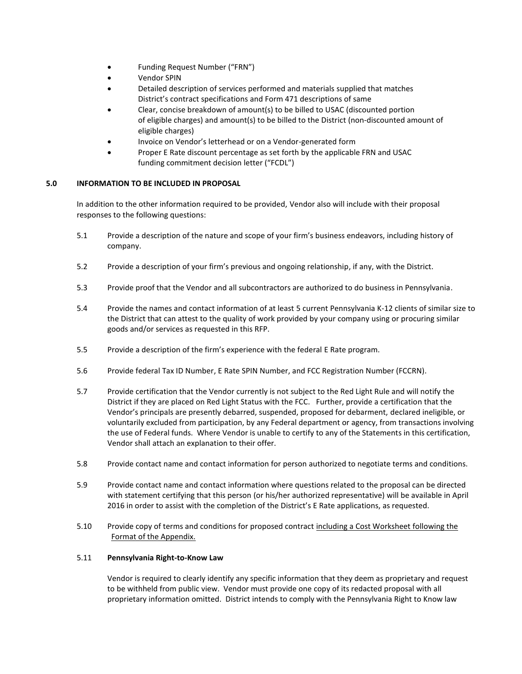- Funding Request Number ("FRN")
- Vendor SPIN
- Detailed description of services performed and materials supplied that matches District's contract specifications and Form 471 descriptions of same
- Clear, concise breakdown of amount(s) to be billed to USAC (discounted portion of eligible charges) and amount(s) to be billed to the District (non-discounted amount of eligible charges)
- Invoice on Vendor's letterhead or on a Vendor-generated form
- Proper E Rate discount percentage as set forth by the applicable FRN and USAC funding commitment decision letter ("FCDL")

## **5.0 INFORMATION TO BE INCLUDED IN PROPOSAL**

In addition to the other information required to be provided, Vendor also will include with their proposal responses to the following questions:

- 5.1 Provide a description of the nature and scope of your firm's business endeavors, including history of company.
- 5.2 Provide a description of your firm's previous and ongoing relationship, if any, with the District.
- 5.3 Provide proof that the Vendor and all subcontractors are authorized to do business in Pennsylvania.
- 5.4 Provide the names and contact information of at least 5 current Pennsylvania K-12 clients of similar size to the District that can attest to the quality of work provided by your company using or procuring similar goods and/or services as requested in this RFP.
- 5.5 Provide a description of the firm's experience with the federal E Rate program.
- 5.6 Provide federal Tax ID Number, E Rate SPIN Number, and FCC Registration Number (FCCRN).
- 5.7 Provide certification that the Vendor currently is not subject to the Red Light Rule and will notify the District if they are placed on Red Light Status with the FCC. Further, provide a certification that the Vendor's principals are presently debarred, suspended, proposed for debarment, declared ineligible, or voluntarily excluded from participation, by any Federal department or agency, from transactions involving the use of Federal funds. Where Vendor is unable to certify to any of the Statements in this certification, Vendor shall attach an explanation to their offer.
- 5.8 Provide contact name and contact information for person authorized to negotiate terms and conditions.
- 5.9 Provide contact name and contact information where questions related to the proposal can be directed with statement certifying that this person (or his/her authorized representative) will be available in April 2016 in order to assist with the completion of the District's E Rate applications, as requested.
- 5.10 Provide copy of terms and conditions for proposed contract including a Cost Worksheet following the Format of the Appendix.

## 5.11 **Pennsylvania Right-to-Know Law**

Vendor is required to clearly identify any specific information that they deem as proprietary and request to be withheld from public view. Vendor must provide one copy of its redacted proposal with all proprietary information omitted. District intends to comply with the Pennsylvania Right to Know law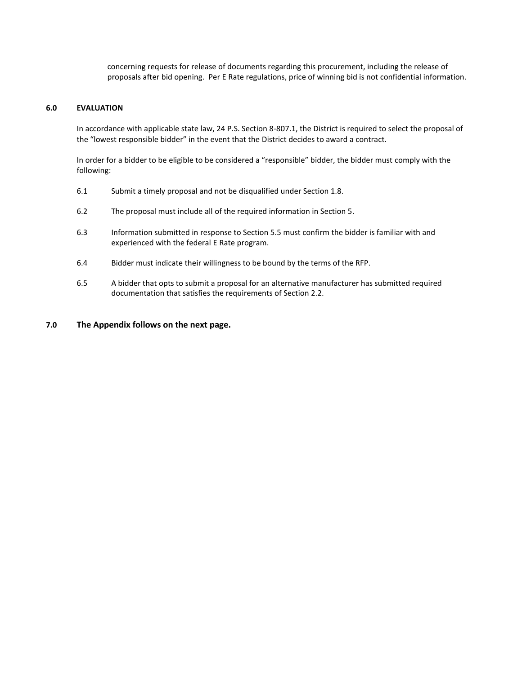concerning requests for release of documents regarding this procurement, including the release of proposals after bid opening. Per E Rate regulations, price of winning bid is not confidential information.

#### **6.0 EVALUATION**

In accordance with applicable state law, 24 P.S. Section 8-807.1, the District is required to select the proposal of the "lowest responsible bidder" in the event that the District decides to award a contract.

In order for a bidder to be eligible to be considered a "responsible" bidder, the bidder must comply with the following:

- 6.1 Submit a timely proposal and not be disqualified under Section 1.8.
- 6.2 The proposal must include all of the required information in Section 5.
- 6.3 Information submitted in response to Section 5.5 must confirm the bidder is familiar with and experienced with the federal E Rate program.
- 6.4 Bidder must indicate their willingness to be bound by the terms of the RFP.
- 6.5 A bidder that opts to submit a proposal for an alternative manufacturer has submitted required documentation that satisfies the requirements of Section 2.2.

## **7.0 The Appendix follows on the next page.**